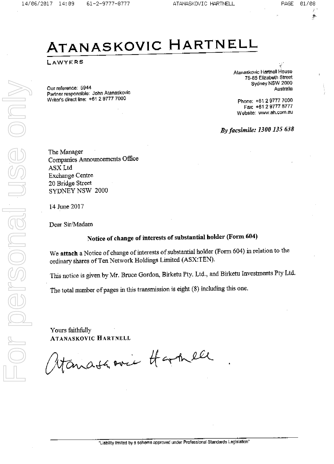PAGE 01/08

 $\eta_{\rm f}$ 

# ATANASKOVIC HARTNELL

LAWYERS

Our reference: 5944 Partner responsible: John Atanaskovic Writer's direct line: +61 2 9777 7000

Atanaskovic Hartnell House 75-85 Elizabeth Street Sydney NSW 2000 Australia

Phone: +61 2 9777 7000 Fax: +61 2 9777 8777 Website: www.ah.com.au

By facsimile: 1300 135 638

The Manager Companies Announcements Office ASX Ltd **Exchange Centre** 20 Bridge Street SYDNEY NSW 2000

14 June 2017

Dear Sir/Madam

ersonal

## Notice of change of interests of substantial holder (Form 604)

We attach a Notice of change of interests of substantial holder (Form 604) in relation to the ordinary shares of Ten Network Holdings Limited (ASX:TEN).

This notice is given by Mr. Bruce Gordon, Birketu Pty. Ltd., and Birketu Investments Pty Ltd.

The total number of pages in this transmission is eight (8) including this one.

Yours faithfully ATANASKOVIC HARTNELL

anata ever thankell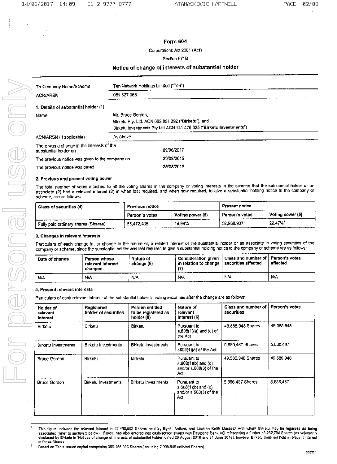## Form 604

Corporations Act 2001 (Act)

## Section 671B

## Notice of change of interests of substantial holder

| To Company Name/Scheme                                              | Ten Network Holdings Limited ("Ten")                                                                                                           |  |  |  |  |
|---------------------------------------------------------------------|------------------------------------------------------------------------------------------------------------------------------------------------|--|--|--|--|
| 081 327 068<br><b>ACN/ARSN</b>                                      |                                                                                                                                                |  |  |  |  |
| 1. Details of substantial holder (1)                                |                                                                                                                                                |  |  |  |  |
| Name                                                                | Mr. Bruce Gordon.<br>Birketu Pty, Ltd. ACN 003 831 392 ("Birketu"), and<br>Birketu Investments Pty Ltd ACN 121 475 625 ("Birketu Investments") |  |  |  |  |
| ACN/ARSN (If applicable)                                            | As above                                                                                                                                       |  |  |  |  |
| There was a change in the interests of the<br>substantial holder on | 09/06/2017                                                                                                                                     |  |  |  |  |
| The previous notice was given to the company on                     | 29/08/2016                                                                                                                                     |  |  |  |  |
| The previous notice was dated                                       | 29/08/2016                                                                                                                                     |  |  |  |  |

## 2. Previous and present voting power

The total number of votes attached to all the voting shares in the company or voting interests in the scheme that the substantial holder or an associate (2) had a relevant interest (3) in when last required, and when now required, to give a substantial holding notice to the company or scheme, are as follows:

| Class of securities (4)               | -------<br>Previous notice         |        | Present notice<br>------ |                  |
|---------------------------------------|------------------------------------|--------|--------------------------|------------------|
|                                       | Voting power (5)<br>Person's votes |        | Person's votes           | Voting power (5) |
| 「Fully paid ordinary shares (Shares)」 | 55.472.435                         | 14.96% | 82,968,937               | 22.47%           |

## 3. Changes in relevant interests

Particulars of each change in, or change in the nature of, a related Interest of the substantial holder or an associate in voting securities of the company or scheme, since the substantial holder was last required to give a substantial holding notice to the company or scheme are as follows:

| Date of change | Person whose<br>relevant interest<br>changed. | Nature of<br>change (6) | Consideration given<br>, in relation to change $^{\circ}$ | ' Class and number of ∣ Person's votes i<br>' securities affected | affected |
|----------------|-----------------------------------------------|-------------------------|-----------------------------------------------------------|-------------------------------------------------------------------|----------|
| N/A            | .<br><b>N/A</b>                               | ___<br>N/A              | N/A                                                       | N/A                                                               | N/A      |

## 4. Presont relevant interests

Particulars of each relevant interest of the substantial holder in voting securities after the change are as follows:

| Holder of<br>relevant<br>interest | Registered<br>holder of securities | Person entitled<br>to be registered as<br>holder (8) | Nature of<br>rolovant<br>interest (6)                                   | Class and number of<br>securities | Person's votes |
|-----------------------------------|------------------------------------|------------------------------------------------------|-------------------------------------------------------------------------|-----------------------------------|----------------|
| Birketu                           | <b>Birketu</b>                     | Birketu                                              | Pursuant to<br>$s.608(1)(a)$ and (c) of<br>the Act                      | 49,585,948 Shares                 | 49,585,948     |
| <b>Birketu Investments</b>        | <b>Birketu Investments</b>         | Birketu Investments                                  | Pursuant to<br>s608(1)(a) of the Act                                    | 5,886,467 Shares                  | 5,886,487      |
| <b>Bruce Gordon</b>               | Birketu                            | Birketu                                              | Pursuant to<br>$s.608(1)(b)$ and $(c)$<br>and/or s.608(3) of the<br>Act | 49,585,948 Shares                 | 49.585,948     |
| <b>Bruce Gordon</b>               | Birketu Investments                | Birketu Invesiments                                  | Pursuant to<br>$s,608(1)(b)$ and $(c)$<br>and/or s.608(3) of the<br>Act | 5,886,487 Shares                  | 5,886,487      |

This figure Includes the relovant interest in 27,496,502 Shares held by Illyria. Antium, and Lachlan Keith Murdoch with whom Birketu may be regarded as being associated (refer to section 5 below). Birketu has also entered into cash-settled swaps with Deutsche Bank AG referencing a further 13,252,704 Shares (as voluntarily disclosed by Birkelu in 'Notices of change of Interests of substantial holder dated 29 August 2016 and 21 June 2016), however Birketu does not hold a relevant Interest in those Shares

ż Based on Ten's issued capital comprising 369,165,396 Shares (including 7,008.549 unlisted Shares).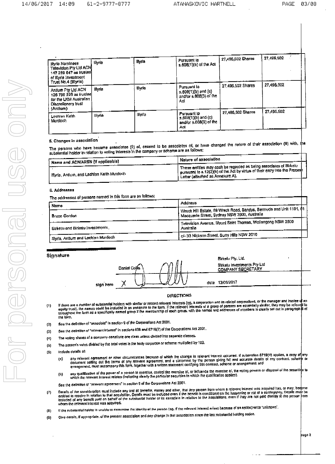| Illvria Naminees<br>Television Pty Ltd ACN<br>147 289 647 as inistee<br>of Illvria Investment                                      | Illvria | <b>Illyria</b> | Pursuant lo<br>s.608(1)(a) of the Act                                        | 27,496,502 Shares | 27,496,502 |
|------------------------------------------------------------------------------------------------------------------------------------|---------|----------------|------------------------------------------------------------------------------|-------------------|------------|
| Trust No.4 (Illyria)<br>Antium Pty Ltd ACN<br>126 790 225 as irusteel<br>for the LKM Australian<br>Discretionary trust<br>(Antlum) | liivria | lliyria        | Pursuant to<br>$s,60\theta(1)(b)$ and $(c)$<br>and/or s.608(3) of the<br>Ael | 27 496,502 Shares | 27.496.502 |
| Lachlan Ketth<br>Murdoch                                                                                                           | llivria | <b>Illvria</b> | Pursuant lo<br>$= 608(1)(b)$ and (c)<br>and/or s.608(3) of the<br>Act        | 27,496,502 Shares | 27,496,502 |

## 5. Changes in association

The persons who have become associates (2) of, ceased to be associates of, or have changed the nature of their association (9) with, the one personal man note assembly essentially on yourself of sessionings on or the<br>substantial holder in relation to voting interests in the company of scheme are as follows:

| $^{\dagger}$ Name and ACN/ARSN (if applicable)          | <sup>⊥</sup> Naturo of association                                                                                                                                                                                 |  |
|---------------------------------------------------------|--------------------------------------------------------------------------------------------------------------------------------------------------------------------------------------------------------------------|--|
| <sup>1</sup> Illyria, Antium, and Lachlan Keith Murdoch | I These entities may cach be regarded as being associates of Birketu 1<br>$\mathsf I$ pursuant to $\mathsf{s.12(2)(b)}$ of the Act by virtue of their entry into the Procesh<br>i Letter (allached as Annexure A). |  |
|                                                         |                                                                                                                                                                                                                    |  |

### 6. Addresses

The addresses of persons named in this form are as follows:

| Macquarie Street, Sydney NSW 2000, Australia                            |                                                                                               |
|-------------------------------------------------------------------------|-----------------------------------------------------------------------------------------------|
| Television Avenue. Mount Saint Thomas, Wollongong NSW 2500<br>Australia |                                                                                               |
| <sup>1</sup> c/- 33 Nickson Street, Surry Hills NSW 2010                |                                                                                               |
|                                                                         | Address<br><sup>1</sup> Wrack Hill Estate, 69 Wreck Road, Sandys, Bermuda and Unit 1101, \$1, |

### Signature

|           |               |  |      | <b>DIVEIN L.A</b>                     |
|-----------|---------------|--|------|---------------------------------------|
|           | Daniel Collis |  |      | <b>Birketu Invo</b><br><b>COMPANY</b> |
| sion hore |               |  | date | 13/06/2017                            |

Birkelu Pty, Ltd. Birketu Investments Pty Ltd COMPANY SECRETARY

## **DIRECTIONS**

- if there are a number of substantial holders with similar or retated relevant interests (eg, a corporation and its related corporations, or the manager and trustee of an<br>equity trust), the namot could be inducted in an ann  $(1)$ the lorm.
- See the definition of "associate" in section 9 of the Corporations Act 2001.  $(2)$
- See the definition of "relevant interest" in sections 608 and 6719(7) of the Corporations Act 2001.  $(3)$
- The voling shares of a comparty constitute one class unless divided into separate classes.  $(4)$
- The person's votes divided by the total votes in the body corporate or scheme multiplied by 100.  $(S)$
- include details of:  $(6)$ 
	- any relevent agreement or other circumstances because of which the change in relevent interest occurred. If subsection 6718(4) applies, a copy of any<br>document setting out the terms of any relevant agreement, and a statemen  $(n)$
	- any qualification of the power of a person to exercise, control the exercise of, or influence the exercise of, the volting powers or disposal of the securities to<br>which the relevant interest relates (indicating clearly the  $(b)$

See the definition of "relevant agreement" in section 9 of the Corporations Act 2001.

- Delails of the consideration must include any and all benefits, money and other, that any person from whom a relevant interest was acquired has, or may, become<br>entitied to recolve in relation to that acquisition. Details m  $\left( 7\right)$
- If the aubstantial holder is unable to determine the (dentity of the person (eg. If the relevant interest arises because of an option) write "unknown".  $(B)$
- Give details, if oppropriate, of the present association and any change in that association since the last substantial holding notice.  $(9)$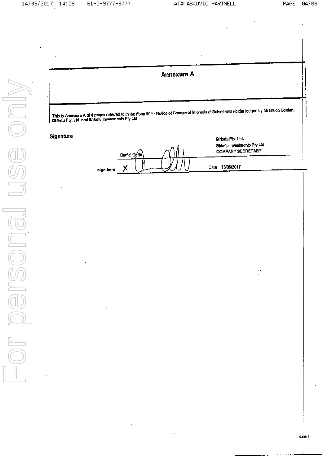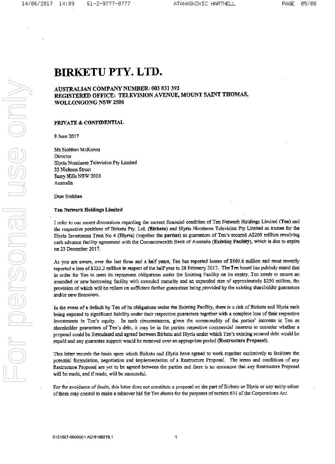# **BIRKETU PTY, LTD.**

## AUSTRALIAN COMPANY NUMBER: 003 831 392 REGISTERED OFFICE: TELEVISION AVENUE, MOUNT SAINT THOMAS, **WOLLONGONG NSW 2500**

## PRIVATE & CONFIDENTIAL

9 June 2017

Ms Siobhan McKenna Director **Hlyria Nominees Television Pty Limited** 33 Nickson Street Surry Hills NSW 2010 Australia

Dear Siobhan

## **Ten Network Holdings Limited**

I refer to our recent discussions regarding the current financial condition of Ten Network Holdings Limited (Ten) and the respective positions of Birketu Pty. Ltd. (Birketu) and Illyria Nominees Television Pty Limited as trustee for the Illyria Investment Trust No 4 (Illyria) (together the parties) as guarantors of Ten's secured A\$200 million revolving cash advance facility agreement with the Commonwealth Bank of Australia (Existing Facility), which is due to expire on 23 December 2017.

As you are aware, over the last three and a half years, Ten has reported losses of \$869.6 million and most recently reported a loss of \$232.2 million in respect of the half year to 28 February 2017. The Ten board has publicly stated that in order for Ten to meet its repayment obligations under the Existing Facility on its expiry, Ten needs to secure an amended or new borrowing facility with extended maturity and an expanded size of approximately \$250 million, the provision of which will be reliant on sufficient further guarantees being provided by the existing shareholder guarantors and/or new financiers.

In the event of a default by Ten of its obligations under the Existing Facility, there is a risk of Birketu and Illyria each being exposed to significant liability under their respective guarantees together with a complete loss of their respective investments in Ten's equity. In such circumstances, given the commonality of the parties' interests in Ten as shareholder guarantors of Ten's debt, it may be in the parties respective commercial interests to consider whether a proposal could be formulated and agreed between Birketu and Illyria under which Ten's existing secured debt would be repaid and any guarantee support would be removed over an appropriate period (Restructure Proposal).

This letter records the basis upon which Birketu and Illyria have agreed to work together exclusively to facilitate the potential formulation, negotiation and implementation of a Restructure Proposal. The terms and conditions of any Restructure Proposal are yet to be agreed between the parties and there is no assurance that any Restructure Proposal will be made, and if made, will be successful.

For the avoidance of doubt, this letter does not constitute a proposal on the part of Birketu or Illyria or any entity either of them may control to make a takeover bid for Ten shares for the purposes of section 631 of the Corporations Act.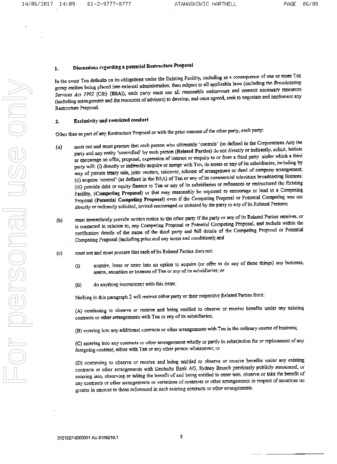### Discussions regarding a potential Restructure Proposal  $\mathbf{I}$ .

In the event Ten defaults on its obligations under the Existing Facility, including as a consequence of one or more Ten group entities being placed into external administration, then subject to all applicable laws (including the Broadcasting Services Act 1992 (Cth) (BSA)), each party must use all reasonable endeavours and commit necessary resources (including management and the resources of advisers) to develop, and once agreed, seek to negotiate and implement any Restructure Proposal.

### Exclusivity and restricted conduct  $\mathbf{2}$

Other than as part of any Restructure Proposal or with the prior consent of the other party, each party:

- must not and must procure that each person who ultimately 'controls' (as defined in the Corporations Act) the  $\left( a\right)$ party and any entity 'controlled' by such person (Related Parties) do not directly or indirectly, solicit, initiate or encourage an offer, proposal, expression of interest or enquiry to or from a third party under which a third party will: (i) directly or indirectly acquire or merge with Ten, its assets or any of its subsidiaries, including by way of private treaty sale, joint venture, takeover, scheme of arrangement or deed of company arrangement; (ii) acquire 'control' (as defined in the BSA) of Ten or any of its commercial television broadcasting licences; (iii) provide debt or equity finance to Ten or any of its subsidiaries or refinances or restructured the Existing Facility, (Competing Proposal) or that may reasonably be expected to encourage or lead to a Competing Proposal (Potential Competing Proposal) even if the Competing Proposal or Potential Competing was not directly or indirectly solicited, invited encouraged or initiated by the party or any of its Related Persons;
- must immediately provide written notice to the other party if the party or any of its Related Parties receives, or  $(b)$ is contacted in relation to, any Competing Proposal or Potential Competing Proposal, and include within the notification details of the name of the third party and full details of the Competing Proposal or Potential Competing Proposal (including price and any terms and conditions); and
- must not and must procure that each of its Related Partics does not:  $(c)$ 
	- acquire, lease or enter into an option to acquire (or offer to do any of these things) any business,  $(i)$ assets, securities or licences of Ten or any of its subsidiaries; or
	- do anything inconsistent with this letter.  $(ii)$

Nothing in this paragraph 2 will restrict cither party or their respective Related Parties from:

(A) continuing to observe or receive and being entitled to observe or receive benefits under any existing contracts or other arrangements with Ten or any of its subsidiaries;

(B) entering into any additional contracts or other arrangoments with Ten in the ordinary course of business;

(C) entering into any contracts or other arrangements wholly or partly in substitution for or replacement of any foregoing contract, either with Ten or any other person whatsoever; or

(D) continuing to observe or receive and being entitled to observe or receive benefits under any existing contracts or other arrangements with Deutsche Bank AG, Sydney Branch previously publicly announced, or entering into, observing or taking the benefit of and being entitled to enter into, observe or take the benefit of any contracts or other arrangements or variations of contracts or other arrangements in respect of securities no greater in amount to those referenced in such existing contracts or other arrangements.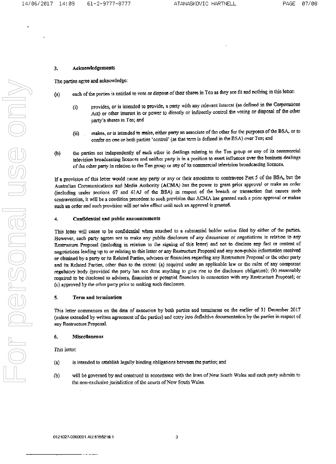### Acknowledgements  $\overline{3}$ .

The parties agree and acknowledge:

- each of the parties is entitled to vote or dispose of their shares in Ten as they see fit and nothing in this letter:  $(a)$ 
	- provides, or is intended to provide, a party with any relevant interest (as defined in the Corporations  $\overline{u}$ Act) or other interest in or power to directly or indirectly control the voting or disposal of the other party's shares in Ton; and
	- makes, or is intended to make, either party an associate of the other for the purposes of the BSA, or to  $(i)$ confer on one or both parties 'control' (as that term is defined in the BSA) over Ten; and
- the parties act independently of each other in dealings relating to the Ten group or any of its commercial  $(b)$ television broadcasting licences and neither party is in a position to exert influence over the business dealings of the other party in relation to the Ten group or any of its commercial television broadcasting licences.

If a provision of this letter would cause any party or any or their associates to contravene Part 5 of the BSA, but the Australian Communications and Media Authority (ACMA) has the power to grant prior approval or make an order (including under sections 67 and 61AJ of the BSA) in respect of the breach or transaction that causes such contravention, it will be a condition precedent to such provision that ACMA has granted such a prior approval or makes such an order and such provision will not take effect until such an approval is granted.

#### Confidential and public announcements  $\boldsymbol{4}$

This letter will cease to be confidential when attached to a substantial holder notice filed by either of the parties. However, each party agrees not to make any public disclosure of any discussions or negotiations in relation to any Restructure Proposal (including in relation to the signing of this letter) and not to disclose any fact or content of negotiations leading up to or relating to this letter or any Restructure Proposal and any non-public information received or obtained by a party or its Related Parties, advisers or financiers regarding any Restructure Proposal or the other party and its Related Parties, other than to the extent: (a) required under an applicable law or the rules of any competent regulatory body (provided the party has not done anything to give rise to the disclosure obligation); (b) reasonably required to be disclosed to advisers, financiers or potential financiers in connection with any Restructure Proposal; or (c) approved by the other party prior to making such disclosure.

### 5. Term and termination

This letter commences on the date of execution by both parties and terminates on the earlier of 31 December 2017 (unless extended by written agreement of the parties) and entry into definitive documentation by the parties in respect of any Restructure Proposal.

#### 6. **Miscellaneous**

This letter:

- is intended to establish legally binding obligations between the parties; and  $(a)$
- will be governed by and construed in accordance with the laws of New South Wales and each party submits to  $(b)$ the non-exclusive jurisdiction of the courts of New South Wales.

\_ \_ \_ \_ \_ \_